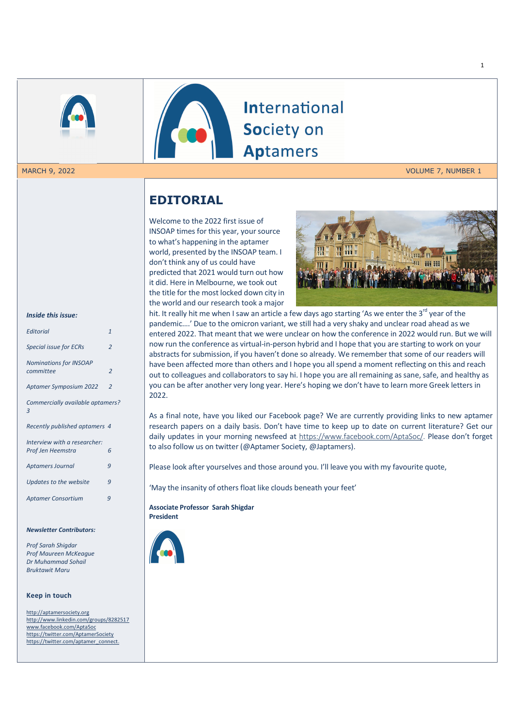

MARCH 9, 2022 **VOLUME 7, NUMBER 1** 

# **EDITORIAL**

Welcome to the 2022 first issue of INSOAP times for this year, your source to what's happening in the aptamer world, presented by the INSOAP team. I don't think any of us could have predicted that 2021 would turn out how it did. Here in Melbourne, we took out the title for the most locked down city in the world and our research took a major



*Inside this issue:* 

| <b>Editorial</b>                                  | $\mathbf{1}$   |
|---------------------------------------------------|----------------|
| <b>Special issue for ECRs</b>                     | $\overline{2}$ |
| <b>Nominations for INSOAP</b><br>committee        | $\overline{2}$ |
| <b>Aptamer Symposium 2022</b>                     | $\overline{2}$ |
| Commercially available aptamers?<br>3             |                |
| Recently published aptamers 4                     |                |
| Interview with a researcher:<br>Prof Jen Heemstra | 6              |
| <b>Aptamers Journal</b>                           | 9              |
| Updates to the website                            | $\mathsf{q}$   |
| <b>Aptamer Consortium</b>                         | 9              |
|                                                   |                |

#### *Newsletter Contributors:*

*Prof Sarah Shigdar Prof Maureen McKeague Dr Muhammad Sohail Bruktawit Maru* 

#### **Keep in touch**

http://aptamersociety.org http://www.linkedin.com/groups/8282517 www.facebook.com/AptaSoc https://twitter.com/AptamerSociety https://twitter.com/aptamer\_connect.

hit. It really hit me when I saw an article a few days ago starting 'As we enter the 3<sup>rd</sup> year of the pandemic….' Due to the omicron variant, we still had a very shaky and unclear road ahead as we entered 2022. That meant that we were unclear on how the conference in 2022 would run. But we will now run the conference as virtual-in-person hybrid and I hope that you are starting to work on your abstracts for submission, if you haven't done so already. We remember that some of our readers will have been affected more than others and I hope you all spend a moment reflecting on this and reach out to colleagues and collaborators to say hi. I hope you are all remaining as sane, safe, and healthy as you can be after another very long year. Here's hoping we don't have to learn more Greek letters in 2022.

**International** 

Society on

**Aptamers** 

As a final note, have you liked our Facebook page? We are currently providing links to new aptamer research papers on a daily basis. Don't have time to keep up to date on current literature? Get our daily updates in your morning newsfeed at https://www.facebook.com/AptaSoc/. Please don't forget to also follow us on twitter (@Aptamer Society, @Japtamers).

Please look after yourselves and those around you. I'll leave you with my favourite quote,

'May the insanity of others float like clouds beneath your feet'

**Associate Professor Sarah Shigdar President** 

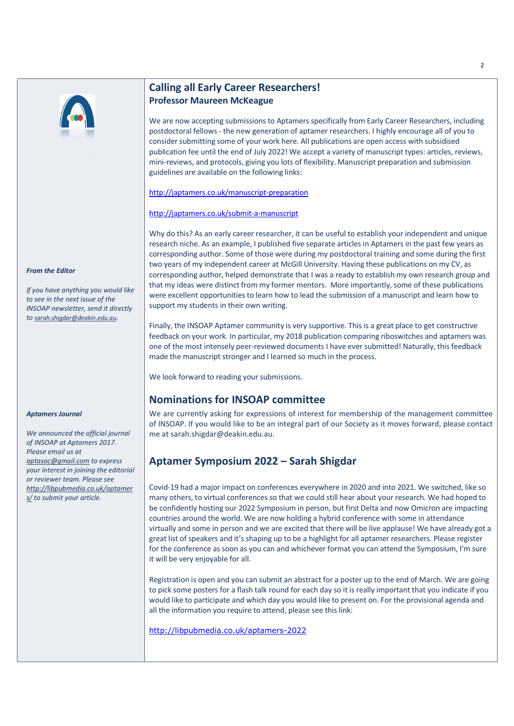

# **Calling all Early Career Researchers! Professor Maureen McKeague**

We are now accepting submissions to Aptamers specifically from Early Career Researchers, including postdoctoral fellows - the new generation of aptamer researchers. I highly encourage all of you to consider submitting some of your work here. All publications are open access with subsidised publication fee until the end of July 2022! We accept a variety of manuscript types: articles, reviews, mini-reviews, and protocols, giving you lots of flexibility. Manuscript preparation and submission guidelines are available on the following links:

http://japtamers.co.uk/manuscript-preparation

### http://japtamers.co.uk/submit-a-manuscript

Why do this? As an early career researcher, it can be useful to establish your independent and unique research niche. As an example, I published five separate articles in Aptamers in the past few years as corresponding author. Some of those were during my postdoctoral training and some during the first two years of my independent career at McGill University. Having these publications on my CV, as corresponding author, helped demonstrate that I was a ready to establish my own research group and that my ideas were distinct from my former mentors. More importantly, some of these publications were excellent opportunities to learn how to lead the submission of a manuscript and learn how to support my students in their own writing.

Finally, the INSOAP Aptamer community is very supportive. This is a great place to get constructive feedback on your work. In particular, my 2018 publication comparing riboswitches and aptamers was one of the most intensely peer-reviewed documents I have ever submitted! Naturally, this feedback made the manuscript stronger and I learned so much in the process.

We look forward to reading your submissions.

## **Nominations for INSOAP committee**

We are currently asking for expressions of interest for membership of the management committee of INSOAP. If you would like to be an integral part of our Society as it moves forward, please contact me at sarah.shigdar@deakin.edu.au.

# **Aptamer Symposium 2022 – Sarah Shigdar**

Covid-19 had a major impact on conferences everywhere in 2020 and into 2021. We switched, like so many others, to virtual conferences so that we could still hear about your research. We had hoped to be confidently hosting our 2022 Symposium in person, but first Delta and now Omicron are impacting countries around the world. We are now holding a hybrid conference with some in attendance virtually and some in person and we are excited that there will be live applause! We have already got a great list of speakers and it's shaping up to be a highlight for all aptamer researchers. Please register for the conference as soon as you can and whichever format you can attend the Symposium, I'm sure it will be very enjoyable for all.

Registration is open and you can submit an abstract for a poster up to the end of March. We are going to pick some posters for a flash talk round for each day so it is really important that you indicate if you would like to participate and which day you would like to present on. For the provisional agenda and all the information you require to attend, please see this link:

http://libpubmedia.co.uk/aptamers-2022

*From the Editor*

*If you have anything you would like to see in the next issue of the INSOAP newsletter, send it directly to sarah.shigdar@deakin.edu.au.* 

#### *Aptamers Journal*

*We announced the official journal of INSOAP at Aptamers 2017. Please email us at aptasoc@gmail.com to express your interest in joining the editorial or reviewer team. Please see http://libpubmedia.co.uk/aptamer s/ to submit your article.*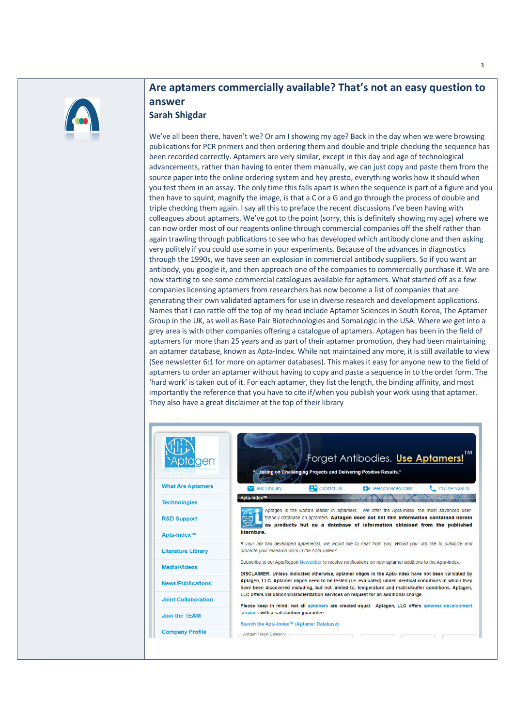

# **Are aptamers commercially available? That's not an easy question to answer Sarah Shigdar**

We've all been there, haven't we? Or am I showing my age? Back in the day when we were browsing publications for PCR primers and then ordering them and double and triple checking the sequence has been recorded correctly. Aptamers are very similar, except in this day and age of technological advancements, rather than having to enter them manually, we can just copy and paste them from the source paper into the online ordering system and hey presto, everything works how it should when you test them in an assay. The only time this falls apart is when the sequence is part of a figure and you then have to squint, magnify the image, is that a C or a G and go through the process of double and triple checking them again. I say all this to preface the recent discussions I've been having with colleagues about aptamers. We've got to the point (sorry, this is definitely showing my age) where we can now order most of our reagents online through commercial companies off the shelf rather than again trawling through publications to see who has developed which antibody clone and then asking very politely if you could use some in your experiments. Because of the advances in diagnostics through the 1990s, we have seen an explosion in commercial antibody suppliers. So if you want an antibody, you google it, and then approach one of the companies to commercially purchase it. We are now starting to see some commercial catalogues available for aptamers. What started off as a few companies licensing aptamers from researchers has now become a list of companies that are generating their own validated aptamers for use in diverse research and development applications. Names that I can rattle off the top of my head include Aptamer Sciences in South Korea, The Aptamer Group in the UK, as well as Base Pair Biotechnologies and SomaLogic in the USA. Where we get into a grey area is with other companies offering a catalogue of aptamers. Aptagen has been in the field of aptamers for more than 25 years and as part of their aptamer promotion, they had been maintaining an aptamer database, known as Apta-Index. While not maintained any more, it is still available to view (See newsletter 6:1 for more on aptamer databases). This makes it easy for anyone new to the field of aptamers to order an aptamer without having to copy and paste a sequence in to the order form. The 'hard work' is taken out of it. For each aptamer, they list the length, the binding affinity, and most importantly the reference that you have to cite if/when you publish your work using that aptamer. They also have a great disclaimer at the top of their library

#### Forget Antibodies. Use Aptamers! Apta<mark>gen</mark> taking on Challenging Projects and Delivering Positive Results." **What Are Aptamers** R&D Inquiry **Q<sup>2</sup>** Contact Us **ESI** Telecon/Video Calls 717-APTAGEN Apta-Index™ AMA OX **Technologies** Aptagen is the world's leader in aptamers. We offer the Apta-index, the most advanced userfriendly database on aptamers. Aptagen does not list this information contained herein **R&D Support** as products but as a database of information obtained from the published literature Apta-Index™ If your lab has developed aptamer(s), we would like to hear from you. Would your lab like to publicize and **Literature Library** promote your research work in the Apta-Index? Subscribe to our AptaReport Newsletter to receive notifications on new aptamer additions to the Apta-index. **Media/Videos** DISCLAIMER: Unless indicated otherwise, aptamer oligos in the Apta-Index have not been validated by Aptagen, LLC. Aptamer oligos need to be tested (i.e. evaluated) under identical conditions in which they **News/Publications** have been discovered including, but not limited to, temperature and matrix/buffer conditions. Aptagen, LLC offers validation/characterization services on request for an additional charge **Joint Collaboration** Please keep in mind: not all aptamers are created equal. Aptagen, LLC offers aptamer development services with a satisfaction quarantee. Join the TEAM earch the Apta-Index™ (Aptamer Database) **Company Profile** - Antigen/Target Category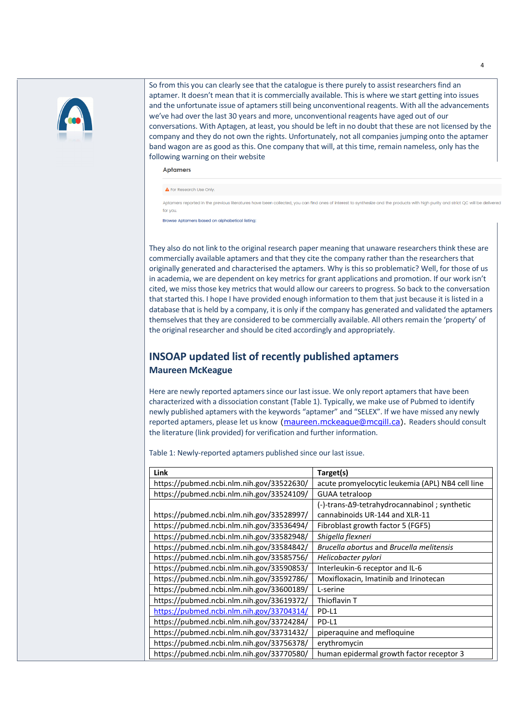

So from this you can clearly see that the catalogue is there purely to assist researchers find an aptamer. It doesn't mean that it is commercially available. This is where we start getting into issues and the unfortunate issue of aptamers still being unconventional reagents. With all the advancements we've had over the last 30 years and more, unconventional reagents have aged out of our conversations. With Aptagen, at least, you should be left in no doubt that these are not licensed by the company and they do not own the rights. Unfortunately, not all companies jumping onto the aptamer band wagon are as good as this. One company that will, at this time, remain nameless, only has the following warning on their website

Aptamers

A For Research Use Only.

Aptamers reported in the previous literatures have been collected, you can find ones of interest to synthesize and the products with high purity and strict QC will be deli for you.

Browse Aptamers based on alphabetical listing:

They also do not link to the original research paper meaning that unaware researchers think these are commercially available aptamers and that they cite the company rather than the researchers that originally generated and characterised the aptamers. Why is this so problematic? Well, for those of us in academia, we are dependent on key metrics for grant applications and promotion. If our work isn't cited, we miss those key metrics that would allow our careers to progress. So back to the conversation that started this. I hope I have provided enough information to them that just because it is listed in a database that is held by a company, it is only if the company has generated and validated the aptamers themselves that they are considered to be commercially available. All others remain the 'property' of the original researcher and should be cited accordingly and appropriately.

### **INSOAP updated list of recently published aptamers Maureen McKeague**

Here are newly reported aptamers since our last issue. We only report aptamers that have been characterized with a dissociation constant (Table 1). Typically, we make use of Pubmed to identify newly published aptamers with the keywords "aptamer" and "SELEX". If we have missed any newly reported aptamers, please let us know (maureen.mckeague@mcgill.ca). Readers should consult the literature (link provided) for verification and further information.

Table 1: Newly-reported aptamers published since our last issue.

| Link                                      | Target(s)                                        |
|-------------------------------------------|--------------------------------------------------|
| https://pubmed.ncbi.nlm.nih.gov/33522630/ | acute promyelocytic leukemia (APL) NB4 cell line |
| https://pubmed.ncbi.nlm.nih.gov/33524109/ | <b>GUAA tetraloop</b>                            |
|                                           | (-)-trans-Δ9-tetrahydrocannabinol; synthetic     |
| https://pubmed.ncbi.nlm.nih.gov/33528997/ | cannabinoids UR-144 and XLR-11                   |
| https://pubmed.ncbi.nlm.nih.gov/33536494/ | Fibroblast growth factor 5 (FGF5)                |
| https://pubmed.ncbi.nlm.nih.gov/33582948/ | Shigella flexneri                                |
| https://pubmed.ncbi.nlm.nih.gov/33584842/ | Brucella abortus and Brucella melitensis         |
| https://pubmed.ncbi.nlm.nih.gov/33585756/ | Helicobacter pylori                              |
| https://pubmed.ncbi.nlm.nih.gov/33590853/ | Interleukin-6 receptor and IL-6                  |
| https://pubmed.ncbi.nlm.nih.gov/33592786/ | Moxifloxacin, Imatinib and Irinotecan            |
| https://pubmed.ncbi.nlm.nih.gov/33600189/ | L-serine                                         |
| https://pubmed.ncbi.nlm.nih.gov/33619372/ | Thioflavin T                                     |
| https://pubmed.ncbi.nlm.nih.gov/33704314/ | PD-L1                                            |
| https://pubmed.ncbi.nlm.nih.gov/33724284/ | PD-L1                                            |
| https://pubmed.ncbi.nlm.nih.gov/33731432/ | piperaquine and mefloquine                       |
| https://pubmed.ncbi.nlm.nih.gov/33756378/ | erythromycin                                     |
| https://pubmed.ncbi.nlm.nih.gov/33770580/ | human epidermal growth factor receptor 3         |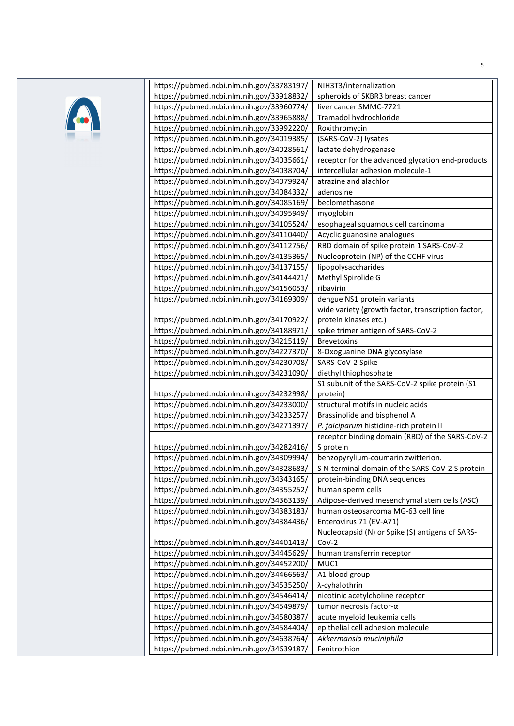

| https://pubmed.ncbi.nlm.nih.gov/33783197/ | NIH3T3/internalization                             |
|-------------------------------------------|----------------------------------------------------|
| https://pubmed.ncbi.nlm.nih.gov/33918832/ | spheroids of SKBR3 breast cancer                   |
| https://pubmed.ncbi.nlm.nih.gov/33960774/ | liver cancer SMMC-7721                             |
| https://pubmed.ncbi.nlm.nih.gov/33965888/ | Tramadol hydrochloride                             |
| https://pubmed.ncbi.nlm.nih.gov/33992220/ | Roxithromycin                                      |
| https://pubmed.ncbi.nlm.nih.gov/34019385/ | (SARS-CoV-2) lysates                               |
| https://pubmed.ncbi.nlm.nih.gov/34028561/ | lactate dehydrogenase                              |
| https://pubmed.ncbi.nlm.nih.gov/34035661/ | receptor for the advanced glycation end-products   |
| https://pubmed.ncbi.nlm.nih.gov/34038704/ | intercellular adhesion molecule-1                  |
| https://pubmed.ncbi.nlm.nih.gov/34079924/ | atrazine and alachlor                              |
| https://pubmed.ncbi.nlm.nih.gov/34084332/ | adenosine                                          |
| https://pubmed.ncbi.nlm.nih.gov/34085169/ | beclomethasone                                     |
| https://pubmed.ncbi.nlm.nih.gov/34095949/ | myoglobin                                          |
| https://pubmed.ncbi.nlm.nih.gov/34105524/ | esophageal squamous cell carcinoma                 |
| https://pubmed.ncbi.nlm.nih.gov/34110440/ | Acyclic guanosine analogues                        |
| https://pubmed.ncbi.nlm.nih.gov/34112756/ | RBD domain of spike protein 1 SARS-CoV-2           |
| https://pubmed.ncbi.nlm.nih.gov/34135365/ | Nucleoprotein (NP) of the CCHF virus               |
| https://pubmed.ncbi.nlm.nih.gov/34137155/ | lipopolysaccharides                                |
| https://pubmed.ncbi.nlm.nih.gov/34144421/ | Methyl Spirolide G                                 |
| https://pubmed.ncbi.nlm.nih.gov/34156053/ | ribavirin                                          |
| https://pubmed.ncbi.nlm.nih.gov/34169309/ | dengue NS1 protein variants                        |
|                                           | wide variety (growth factor, transcription factor, |
| https://pubmed.ncbi.nlm.nih.gov/34170922/ | protein kinases etc.)                              |
| https://pubmed.ncbi.nlm.nih.gov/34188971/ | spike trimer antigen of SARS-CoV-2                 |
| https://pubmed.ncbi.nlm.nih.gov/34215119/ | <b>Brevetoxins</b>                                 |
| https://pubmed.ncbi.nlm.nih.gov/34227370/ | 8-Oxoguanine DNA glycosylase                       |
| https://pubmed.ncbi.nlm.nih.gov/34230708/ | SARS-CoV-2 Spike                                   |
| https://pubmed.ncbi.nlm.nih.gov/34231090/ | diethyl thiophosphate                              |
|                                           | S1 subunit of the SARS-CoV-2 spike protein (S1     |
| https://pubmed.ncbi.nlm.nih.gov/34232998/ | protein)                                           |
| https://pubmed.ncbi.nlm.nih.gov/34233000/ | structural motifs in nucleic acids                 |
| https://pubmed.ncbi.nlm.nih.gov/34233257/ | Brassinolide and bisphenol A                       |
| https://pubmed.ncbi.nlm.nih.gov/34271397/ | P. falciparum histidine-rich protein II            |
|                                           | receptor binding domain (RBD) of the SARS-CoV-2    |
| https://pubmed.ncbi.nlm.nih.gov/34282416/ | S protein                                          |
| https://pubmed.ncbi.nlm.nih.gov/34309994/ | benzopyrylium-coumarin zwitterion.                 |
| https://pubmed.ncbi.nlm.nih.gov/34328683/ | S N-terminal domain of the SARS-CoV-2 S protein    |
| https://pubmed.ncbi.nlm.nih.gov/34343165/ | protein-binding DNA sequences                      |
| https://pubmed.ncbi.nlm.nih.gov/34355252/ | human sperm cells                                  |
| https://pubmed.ncbi.nlm.nih.gov/34363139/ | Adipose-derived mesenchymal stem cells (ASC)       |
| https://pubmed.ncbi.nlm.nih.gov/34383183/ | human osteosarcoma MG-63 cell line                 |
| https://pubmed.ncbi.nlm.nih.gov/34384436/ | Enterovirus 71 (EV-A71)                            |
|                                           | Nucleocapsid (N) or Spike (S) antigens of SARS-    |
| https://pubmed.ncbi.nlm.nih.gov/34401413/ | $CoV-2$                                            |
| https://pubmed.ncbi.nlm.nih.gov/34445629/ | human transferrin receptor                         |
| https://pubmed.ncbi.nlm.nih.gov/34452200/ | MUC1                                               |
| https://pubmed.ncbi.nlm.nih.gov/34466563/ | A1 blood group                                     |
| https://pubmed.ncbi.nlm.nih.gov/34535250/ | λ-cyhalothrin                                      |
| https://pubmed.ncbi.nlm.nih.gov/34546414/ | nicotinic acetylcholine receptor                   |
| https://pubmed.ncbi.nlm.nih.gov/34549879/ | tumor necrosis factor- $\alpha$                    |
| https://pubmed.ncbi.nlm.nih.gov/34580387/ | acute myeloid leukemia cells                       |
| https://pubmed.ncbi.nlm.nih.gov/34584404/ | epithelial cell adhesion molecule                  |
| https://pubmed.ncbi.nlm.nih.gov/34638764/ | Akkermansia muciniphila                            |
| https://pubmed.ncbi.nlm.nih.gov/34639187/ | Fenitrothion                                       |
|                                           |                                                    |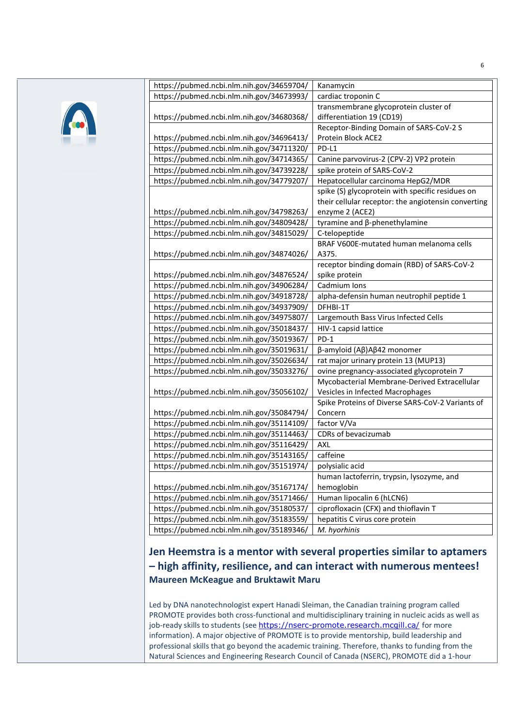

| https://pubmed.ncbi.nlm.nih.gov/34659704/ | Kanamycin                                           |
|-------------------------------------------|-----------------------------------------------------|
| https://pubmed.ncbi.nlm.nih.gov/34673993/ | cardiac troponin C                                  |
|                                           | transmembrane glycoprotein cluster of               |
| https://pubmed.ncbi.nlm.nih.gov/34680368/ | differentiation 19 (CD19)                           |
|                                           | Receptor-Binding Domain of SARS-CoV-2 S             |
| https://pubmed.ncbi.nlm.nih.gov/34696413/ | Protein Block ACE2                                  |
| https://pubmed.ncbi.nlm.nih.gov/34711320/ | PD-L1                                               |
| https://pubmed.ncbi.nlm.nih.gov/34714365/ | Canine parvovirus-2 (CPV-2) VP2 protein             |
| https://pubmed.ncbi.nlm.nih.gov/34739228/ | spike protein of SARS-CoV-2                         |
| https://pubmed.ncbi.nlm.nih.gov/34779207/ | Hepatocellular carcinoma HepG2/MDR                  |
|                                           | spike (S) glycoprotein with specific residues on    |
|                                           | their cellular receptor: the angiotensin converting |
| https://pubmed.ncbi.nlm.nih.gov/34798263/ | enzyme 2 (ACE2)                                     |
| https://pubmed.ncbi.nlm.nih.gov/34809428/ | tyramine and β-phenethylamine                       |
| https://pubmed.ncbi.nlm.nih.gov/34815029/ | C-telopeptide                                       |
|                                           | BRAF V600E-mutated human melanoma cells             |
| https://pubmed.ncbi.nlm.nih.gov/34874026/ | A375.                                               |
|                                           | receptor binding domain (RBD) of SARS-CoV-2         |
| https://pubmed.ncbi.nlm.nih.gov/34876524/ | spike protein                                       |
| https://pubmed.ncbi.nlm.nih.gov/34906284/ | Cadmium Ions                                        |
| https://pubmed.ncbi.nlm.nih.gov/34918728/ | alpha-defensin human neutrophil peptide 1           |
| https://pubmed.ncbi.nlm.nih.gov/34937909/ | DFHBI-1T                                            |
| https://pubmed.ncbi.nlm.nih.gov/34975807/ | Largemouth Bass Virus Infected Cells                |
| https://pubmed.ncbi.nlm.nih.gov/35018437/ | HIV-1 capsid lattice                                |
| https://pubmed.ncbi.nlm.nih.gov/35019367/ | $PD-1$                                              |
| https://pubmed.ncbi.nlm.nih.gov/35019631/ | $\beta$ -amyloid (Αβ)Αβ42 monomer                   |
| https://pubmed.ncbi.nlm.nih.gov/35026634/ | rat major urinary protein 13 (MUP13)                |
| https://pubmed.ncbi.nlm.nih.gov/35033276/ | ovine pregnancy-associated glycoprotein 7           |
|                                           | Mycobacterial Membrane-Derived Extracellular        |
| https://pubmed.ncbi.nlm.nih.gov/35056102/ | Vesicles in Infected Macrophages                    |
|                                           | Spike Proteins of Diverse SARS-CoV-2 Variants of    |
| https://pubmed.ncbi.nlm.nih.gov/35084794/ | Concern                                             |
| https://pubmed.ncbi.nlm.nih.gov/35114109/ | factor V/Va                                         |
| https://pubmed.ncbi.nlm.nih.gov/35114463/ | CDRs of bevacizumab                                 |
| https://pubmed.ncbi.nlm.nih.gov/35116429/ | <b>AXL</b>                                          |
| https://pubmed.ncbi.nlm.nih.gov/35143165/ | caffeine                                            |
| https://pubmed.ncbi.nlm.nih.gov/35151974/ | polysialic acid                                     |
|                                           | human lactoferrin, trypsin, lysozyme, and           |
| https://pubmed.ncbi.nlm.nih.gov/35167174/ | hemoglobin                                          |
| https://pubmed.ncbi.nlm.nih.gov/35171466/ | Human lipocalin 6 (hLCN6)                           |
| https://pubmed.ncbi.nlm.nih.gov/35180537/ | ciprofloxacin (CFX) and thioflavin T                |
| https://pubmed.ncbi.nlm.nih.gov/35183559/ | hepatitis C virus core protein                      |
| https://pubmed.ncbi.nlm.nih.gov/35189346/ | M. hyorhinis                                        |

# **Jen Heemstra is a mentor with several properties similar to aptamers – high affinity, resilience, and can interact with numerous mentees! Maureen McKeague and Bruktawit Maru**

Led by DNA nanotechnologist expert Hanadi Sleiman, the Canadian training program called PROMOTE provides both cross-functional and multidisciplinary training in nucleic acids as well as job-ready skills to students (see https://nserc-promote.research.mcgill.ca/ for more information). A major objective of PROMOTE is to provide mentorship, build leadership and professional skills that go beyond the academic training. Therefore, thanks to funding from the Natural Sciences and Engineering Research Council of Canada (NSERC), PROMOTE did a 1-hour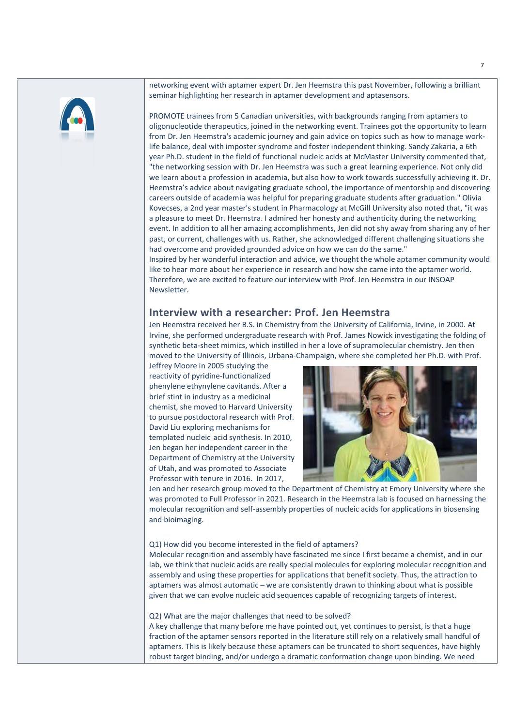

networking event with aptamer expert Dr. Jen Heemstra this past November, following a brilliant seminar highlighting her research in aptamer development and aptasensors.

PROMOTE trainees from 5 Canadian universities, with backgrounds ranging from aptamers to oligonucleotide therapeutics, joined in the networking event. Trainees got the opportunity to learn from Dr. Jen Heemstra's academic journey and gain advice on topics such as how to manage worklife balance, deal with imposter syndrome and foster independent thinking. Sandy Zakaria, a 6th year Ph.D. student in the field of functional nucleic acids at McMaster University commented that, "the networking session with Dr. Jen Heemstra was such a great learning experience. Not only did we learn about a profession in academia, but also how to work towards successfully achieving it. Dr. Heemstra's advice about navigating graduate school, the importance of mentorship and discovering careers outside of academia was helpful for preparing graduate students after graduation." Olivia Kovecses, a 2nd year master's student in Pharmacology at McGill University also noted that, "it was a pleasure to meet Dr. Heemstra. I admired her honesty and authenticity during the networking event. In addition to all her amazing accomplishments, Jen did not shy away from sharing any of her past, or current, challenges with us. Rather, she acknowledged different challenging situations she had overcome and provided grounded advice on how we can do the same."

Inspired by her wonderful interaction and advice, we thought the whole aptamer community would like to hear more about her experience in research and how she came into the aptamer world. Therefore, we are excited to feature our interview with Prof. Jen Heemstra in our INSOAP Newsletter.

### **Interview with a researcher: Prof. Jen Heemstra**

Jen Heemstra received her B.S. in Chemistry from the University of California, Irvine, in 2000. At Irvine, she performed undergraduate research with Prof. James Nowick investigating the folding of synthetic beta-sheet mimics, which instilled in her a love of supramolecular chemistry. Jen then moved to the University of Illinois, Urbana-Champaign, where she completed her Ph.D. with Prof.

Jeffrey Moore in 2005 studying the reactivity of pyridine-functionalized phenylene ethynylene cavitands. After a brief stint in industry as a medicinal chemist, she moved to Harvard University to pursue postdoctoral research with Prof. David Liu exploring mechanisms for templated nucleic acid synthesis. In 2010, Jen began her independent career in the Department of Chemistry at the University of Utah, and was promoted to Associate Professor with tenure in 2016. In 2017,



Jen and her research group moved to the Department of Chemistry at Emory University where she was promoted to Full Professor in 2021. Research in the Heemstra lab is focused on harnessing the molecular recognition and self-assembly properties of nucleic acids for applications in biosensing and bioimaging.

### Q1) How did you become interested in the field of aptamers?

Molecular recognition and assembly have fascinated me since I first became a chemist, and in our lab, we think that nucleic acids are really special molecules for exploring molecular recognition and assembly and using these properties for applications that benefit society. Thus, the attraction to aptamers was almost automatic – we are consistently drawn to thinking about what is possible given that we can evolve nucleic acid sequences capable of recognizing targets of interest.

#### Q2) What are the major challenges that need to be solved?

A key challenge that many before me have pointed out, yet continues to persist, is that a huge fraction of the aptamer sensors reported in the literature still rely on a relatively small handful of aptamers. This is likely because these aptamers can be truncated to short sequences, have highly robust target binding, and/or undergo a dramatic conformation change upon binding. We need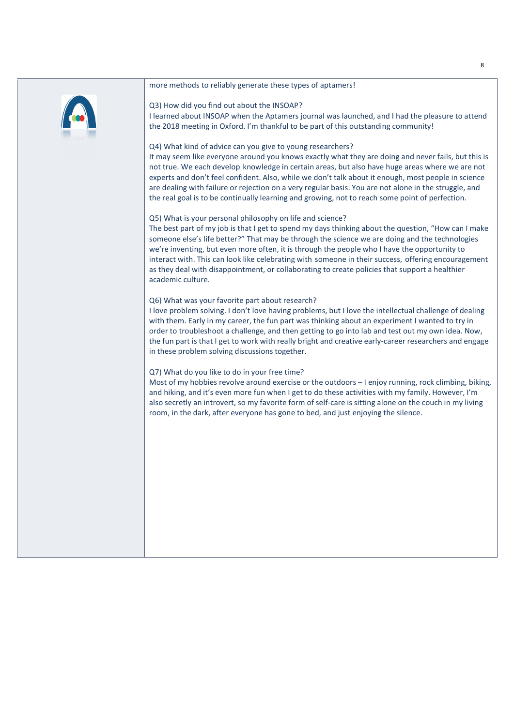#### more methods to reliably generate these types of aptamers!



Q3) How did you find out about the INSOAP? I learned about INSOAP when the Aptamers journal was launched, and I had the pleasure to attend the 2018 meeting in Oxford. I'm thankful to be part of this outstanding community!

### Q4) What kind of advice can you give to young researchers?

It may seem like everyone around you knows exactly what they are doing and never fails, but this is not true. We each develop knowledge in certain areas, but also have huge areas where we are not experts and don't feel confident. Also, while we don't talk about it enough, most people in science are dealing with failure or rejection on a very regular basis. You are not alone in the struggle, and the real goal is to be continually learning and growing, not to reach some point of perfection.

### Q5) What is your personal philosophy on life and science?

The best part of my job is that I get to spend my days thinking about the question, "How can I make someone else's life better?" That may be through the science we are doing and the technologies we're inventing, but even more often, it is through the people who I have the opportunity to interact with. This can look like celebrating with someone in their success, offering encouragement as they deal with disappointment, or collaborating to create policies that support a healthier academic culture.

### Q6) What was your favorite part about research?

I love problem solving. I don't love having problems, but I love the intellectual challenge of dealing with them. Early in my career, the fun part was thinking about an experiment I wanted to try in order to troubleshoot a challenge, and then getting to go into lab and test out my own idea. Now, the fun part is that I get to work with really bright and creative early-career researchers and engage in these problem solving discussions together.

### Q7) What do you like to do in your free time?

Most of my hobbies revolve around exercise or the outdoors - I enjoy running, rock climbing, biking, and hiking, and it's even more fun when I get to do these activities with my family. However, I'm also secretly an introvert, so my favorite form of self-care is sitting alone on the couch in my living room, in the dark, after everyone has gone to bed, and just enjoying the silence.